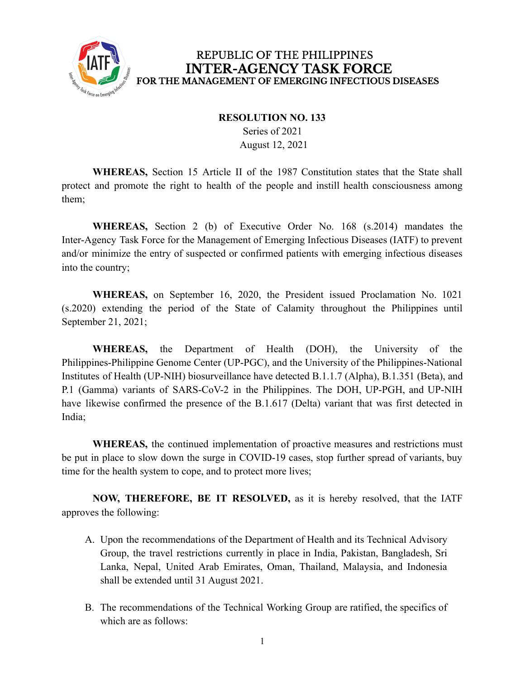

## REPUBLIC OF THE PHILIPPINES **INTER-AGENCY TASK FORCE** FOR THE MANAGEMENT OF EMERGING INFECTIOUS DISEASES

## **RESOLUTION NO. 133**

Series of 2021 August 12, 2021

**WHEREAS,** Section 15 Article II of the 1987 Constitution states that the State shall protect and promote the right to health of the people and instill health consciousness among them;

**WHEREAS,** Section 2 (b) of Executive Order No. 168 (s.2014) mandates the Inter-Agency Task Force for the Management of Emerging Infectious Diseases (IATF) to prevent and/or minimize the entry of suspected or confirmed patients with emerging infectious diseases into the country;

**WHEREAS,** on September 16, 2020, the President issued Proclamation No. 1021 (s.2020) extending the period of the State of Calamity throughout the Philippines until September 21, 2021;

**WHEREAS,** the Department of Health (DOH), the University of the Philippines-Philippine Genome Center (UP-PGC), and the University of the Philippines-National Institutes of Health (UP-NIH) biosurveillance have detected B.1.1.7 (Alpha), B.1.351 (Beta), and P.1 (Gamma) variants of SARS-CoV-2 in the Philippines. The DOH, UP-PGH, and UP-NIH have likewise confirmed the presence of the B.1.617 (Delta) variant that was first detected in India;

**WHEREAS,** the continued implementation of proactive measures and restrictions must be put in place to slow down the surge in COVID-19 cases, stop further spread of variants, buy time for the health system to cope, and to protect more lives;

**NOW, THEREFORE, BE IT RESOLVED,** as it is hereby resolved, that the IATF approves the following:

- A. Upon the recommendations of the Department of Health and its Technical Advisory Group, the travel restrictions currently in place in India, Pakistan, Bangladesh, Sri Lanka, Nepal, United Arab Emirates, Oman, Thailand, Malaysia, and Indonesia shall be extended until 31 August 2021.
- B. The recommendations of the Technical Working Group are ratified, the specifics of which are as follows: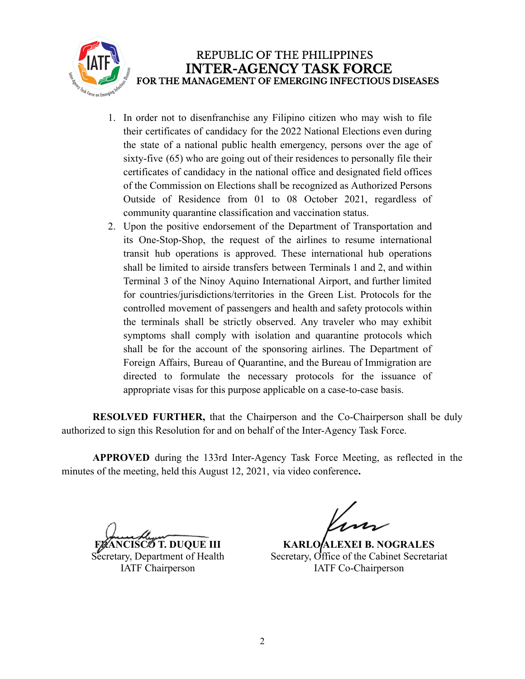

- 1. In order not to disenfranchise any Filipino citizen who may wish to file their certificates of candidacy for the 2022 National Elections even during the state of a national public health emergency, persons over the age of sixty-five (65) who are going out of their residences to personally file their certificates of candidacy in the national office and designated field offices of the Commission on Elections shall be recognized as Authorized Persons Outside of Residence from 01 to 08 October 2021, regardless of community quarantine classification and vaccination status.
- 2. Upon the positive endorsement of the Department of Transportation and its One-Stop-Shop, the request of the airlines to resume international transit hub operations is approved. These international hub operations shall be limited to airside transfers between Terminals 1 and 2, and within Terminal 3 of the Ninoy Aquino International Airport, and further limited for countries/jurisdictions/territories in the Green List. Protocols for the controlled movement of passengers and health and safety protocols within the terminals shall be strictly observed. Any traveler who may exhibit symptoms shall comply with isolation and quarantine protocols which shall be for the account of the sponsoring airlines. The Department of Foreign Affairs, Bureau of Quarantine, and the Bureau of Immigration are directed to formulate the necessary protocols for the issuance of appropriate visas for this purpose applicable on a case-to-case basis.

**RESOLVED FURTHER,** that the Chairperson and the Co-Chairperson shall be duly authorized to sign this Resolution for and on behalf of the Inter-Agency Task Force.

**APPROVED** during the 133rd Inter-Agency Task Force Meeting, as reflected in the minutes of the meeting, held this August 12, 2021, via video conference**.**

**T. DUOUE III** Secretary, Department of Health IATF Chairperson

**KARLO/ALEXEI B. NOGRALES** Secretary, Office of the Cabinet Secretariat IATF Co-Chairperson